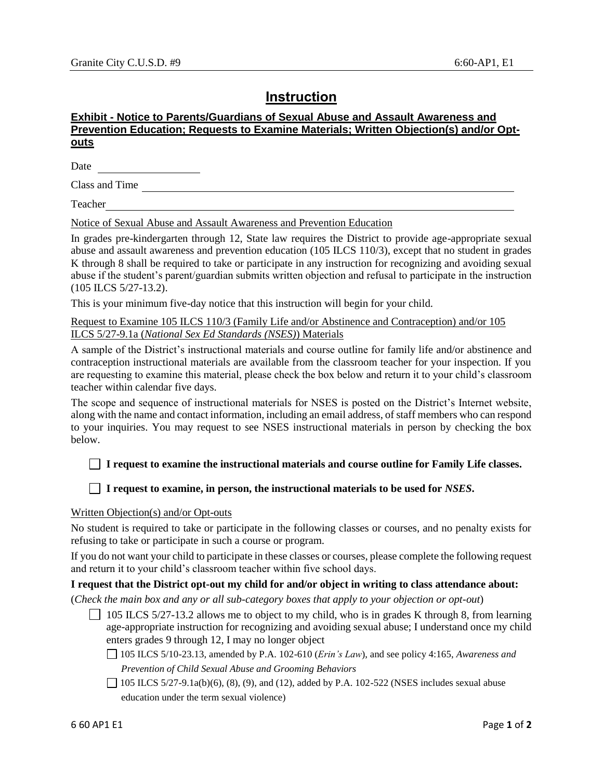# **Instruction**

## **Exhibit - Notice to Parents/Guardians of Sexual Abuse and Assault Awareness and Prevention Education; Requests to Examine Materials; Written Objection(s) and/or Optouts**

Date

Class and Time

Teacher

Notice of Sexual Abuse and Assault Awareness and Prevention Education

In grades pre-kindergarten through 12, State law requires the District to provide age-appropriate sexual abuse and assault awareness and prevention education (105 ILCS 110/3), except that no student in grades K through 8 shall be required to take or participate in any instruction for recognizing and avoiding sexual abuse if the student's parent/guardian submits written objection and refusal to participate in the instruction (105 ILCS 5/27-13.2).

This is your minimum five-day notice that this instruction will begin for your child.

Request to Examine 105 ILCS 110/3 (Family Life and/or Abstinence and Contraception) and/or 105 ILCS 5/27-9.1a (*National Sex Ed Standards (NSES)*) Materials

A sample of the District's instructional materials and course outline for family life and/or abstinence and contraception instructional materials are available from the classroom teacher for your inspection. If you are requesting to examine this material, please check the box below and return it to your child's classroom teacher within calendar five days.

The scope and sequence of instructional materials for NSES is posted on the District's Internet website, along with the name and contact information, including an email address, of staff members who can respond to your inquiries. You may request to see NSES instructional materials in person by checking the box below.

### **I request to examine the instructional materials and course outline for Family Life classes.**

### **I request to examine, in person, the instructional materials to be used for** *NSES***.**

#### Written Objection(s) and/or Opt-outs

No student is required to take or participate in the following classes or courses, and no penalty exists for refusing to take or participate in such a course or program.

If you do not want your child to participate in these classes or courses, please complete the following request and return it to your child's classroom teacher within five school days.

#### **I request that the District opt-out my child for and/or object in writing to class attendance about:**

(*Check the main box and any or all sub-category boxes that apply to your objection or opt-out*)

 $\Box$  105 ILCS 5/27-13.2 allows me to object to my child, who is in grades K through 8, from learning age-appropriate instruction for recognizing and avoiding sexual abuse; I understand once my child enters grades 9 through 12, I may no longer object

105 ILCS 5/10-23.13, amended by P.A. 102-610 (*Erin's Law*), and see policy 4:165, *Awareness and Prevention of Child Sexual Abuse and Grooming Behaviors*

 $\Box$  105 ILCS 5/27-9.1a(b)(6), (8), (9), and (12), added by P.A. 102-522 (NSES includes sexual abuse education under the term sexual violence)